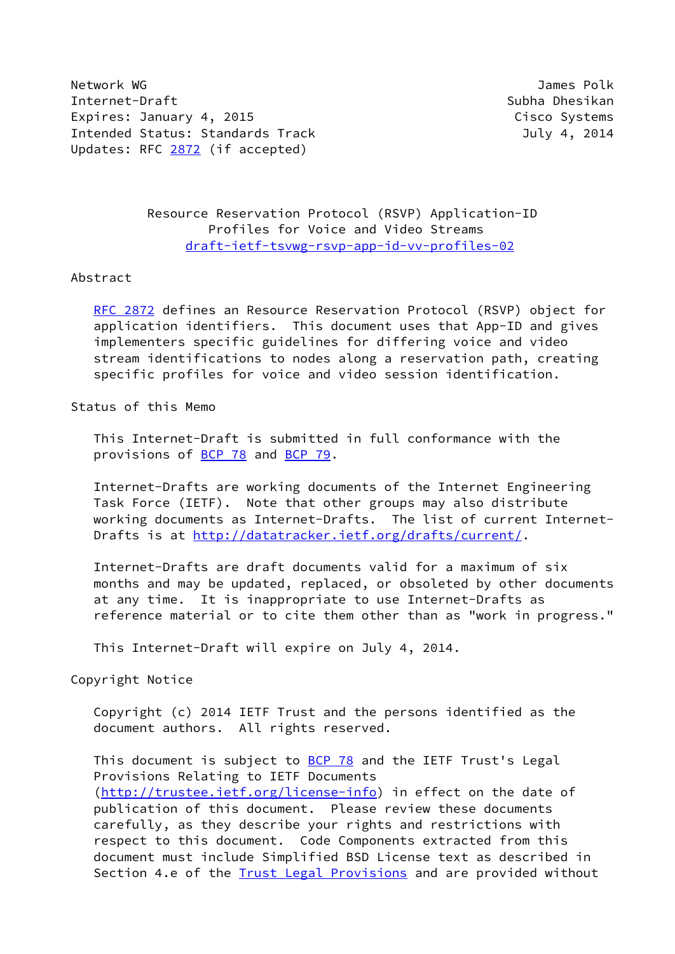Network WG James Polk Internet-Draft Subha Dhesikan Expires: January 4, 2015 **Cisco Systems** Intended Status: Standards Track July 4, 2014 Updates: RFC [2872](https://datatracker.ietf.org/doc/pdf/rfc2872) (if accepted)

 Resource Reservation Protocol (RSVP) Application-ID Profiles for Voice and Video Streams [draft-ietf-tsvwg-rsvp-app-id-vv-profiles-02](https://datatracker.ietf.org/doc/pdf/draft-ietf-tsvwg-rsvp-app-id-vv-profiles-02)

#### Abstract

[RFC 2872](https://datatracker.ietf.org/doc/pdf/rfc2872) defines an Resource Reservation Protocol (RSVP) object for application identifiers. This document uses that App-ID and gives implementers specific guidelines for differing voice and video stream identifications to nodes along a reservation path, creating specific profiles for voice and video session identification.

#### Status of this Memo

 This Internet-Draft is submitted in full conformance with the provisions of **BCP 78** and **BCP 79**.

 Internet-Drafts are working documents of the Internet Engineering Task Force (IETF). Note that other groups may also distribute working documents as Internet-Drafts. The list of current Internet- Drafts is at<http://datatracker.ietf.org/drafts/current/>.

 Internet-Drafts are draft documents valid for a maximum of six months and may be updated, replaced, or obsoleted by other documents at any time. It is inappropriate to use Internet-Drafts as reference material or to cite them other than as "work in progress."

This Internet-Draft will expire on July 4, 2014.

Copyright Notice

 Copyright (c) 2014 IETF Trust and the persons identified as the document authors. All rights reserved.

This document is subject to **[BCP 78](https://datatracker.ietf.org/doc/pdf/bcp78)** and the IETF Trust's Legal Provisions Relating to IETF Documents [\(http://trustee.ietf.org/license-info](http://trustee.ietf.org/license-info)) in effect on the date of publication of this document. Please review these documents carefully, as they describe your rights and restrictions with respect to this document. Code Components extracted from this document must include Simplified BSD License text as described in Section 4.e of the **[Trust Legal Provisions](https://trustee.ietf.org/license-info)** and are provided without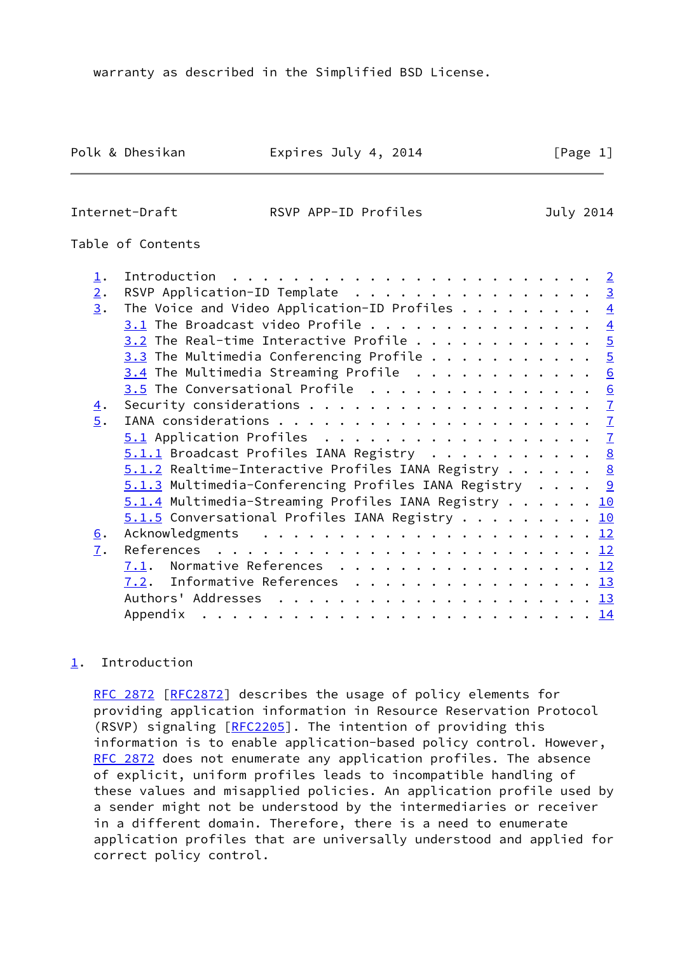Polk & Dhesikan **Expires July 4, 2014** [Page 1]

#### <span id="page-1-1"></span>Internet-Draft RSVP APP-ID Profiles July 2014

# Table of Contents

| $\perp$ .  | $\overline{2}$                                                                    |
|------------|-----------------------------------------------------------------------------------|
| 2.         | RSVP Application-ID Template 3                                                    |
| 3.         | The Voice and Video Application-ID Profiles $\dots \dots \dots$<br>$\overline{4}$ |
|            | $3.1$ The Broadcast video Profile<br>$\overline{4}$                               |
|            | $3.2$ The Real-time Interactive Profile 5                                         |
|            | $3.3$ The Multimedia Conferencing Profile 5                                       |
|            | $3.4$ The Multimedia Streaming Profile 6                                          |
|            | $3.5$ The Conversational Profile 6                                                |
| <u>4</u> . |                                                                                   |
| 5.         |                                                                                   |
|            | 5.1 Application Profiles 7                                                        |
|            | $5.1.1$ Broadcast Profiles IANA Registry 8                                        |
|            | $5.1.2$ Realtime-Interactive Profiles IANA Registry 8                             |
|            | $5.1.3$ Multimedia-Conferencing Profiles IANA Registry 9                          |
|            | $5.1.4$ Multimedia-Streaming Profiles IANA Registry 10                            |
|            | $5.1.5$ Conversational Profiles IANA Registry 10                                  |
| 6.         | Acknowledgments                                                                   |
| 7.         |                                                                                   |
|            | Normative References $\underline{12}$<br>7.1.                                     |
|            | Informative References $\frac{13}{2}$<br>7.2.                                     |
|            |                                                                                   |
|            | Appendix                                                                          |
|            |                                                                                   |

# <span id="page-1-0"></span>[1](#page-1-0). Introduction

[RFC 2872](https://datatracker.ietf.org/doc/pdf/rfc2872) [\[RFC2872](https://datatracker.ietf.org/doc/pdf/rfc2872)] describes the usage of policy elements for providing application information in Resource Reservation Protocol (RSVP) signaling [\[RFC2205](https://datatracker.ietf.org/doc/pdf/rfc2205)]. The intention of providing this information is to enable application-based policy control. However, [RFC 2872](https://datatracker.ietf.org/doc/pdf/rfc2872) does not enumerate any application profiles. The absence of explicit, uniform profiles leads to incompatible handling of these values and misapplied policies. An application profile used by a sender might not be understood by the intermediaries or receiver in a different domain. Therefore, there is a need to enumerate application profiles that are universally understood and applied for correct policy control.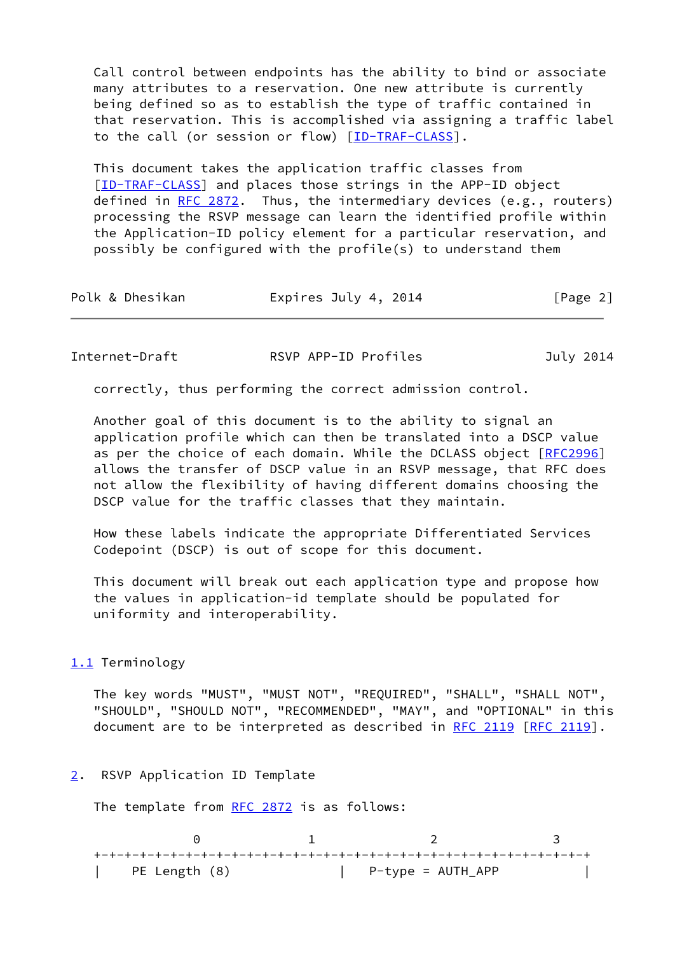Call control between endpoints has the ability to bind or associate many attributes to a reservation. One new attribute is currently being defined so as to establish the type of traffic contained in that reservation. This is accomplished via assigning a traffic label to the call (or session or flow) [\[ID-TRAF-CLASS\]](#page-15-2).

 This document takes the application traffic classes from [\[ID-TRAF-CLASS](#page-15-2)] and places those strings in the APP-ID object defined in  $RFC 2872$ . Thus, the intermediary devices (e.g., routers) processing the RSVP message can learn the identified profile within the Application-ID policy element for a particular reservation, and possibly be configured with the profile(s) to understand them

| Polk & Dhesikan | Expires July 4, 2014 | [Page 2] |
|-----------------|----------------------|----------|
|-----------------|----------------------|----------|

<span id="page-2-1"></span>

| Internet-Draft | RSVP APP-ID Profiles | July 2014 |
|----------------|----------------------|-----------|
|----------------|----------------------|-----------|

correctly, thus performing the correct admission control.

 Another goal of this document is to the ability to signal an application profile which can then be translated into a DSCP value as per the choice of each domain. While the DCLASS object [[RFC2996](https://datatracker.ietf.org/doc/pdf/rfc2996)] allows the transfer of DSCP value in an RSVP message, that RFC does not allow the flexibility of having different domains choosing the DSCP value for the traffic classes that they maintain.

 How these labels indicate the appropriate Differentiated Services Codepoint (DSCP) is out of scope for this document.

 This document will break out each application type and propose how the values in application-id template should be populated for uniformity and interoperability.

## <span id="page-2-2"></span>[1.1](#page-2-2) Terminology

 The key words "MUST", "MUST NOT", "REQUIRED", "SHALL", "SHALL NOT", "SHOULD", "SHOULD NOT", "RECOMMENDED", "MAY", and "OPTIONAL" in this document are to be interpreted as described in [RFC 2119 \[RFC 2119](https://datatracker.ietf.org/doc/pdf/rfc2119)].

## <span id="page-2-0"></span>[2](#page-2-0). RSVP Application ID Template

The template from [RFC 2872](https://datatracker.ietf.org/doc/pdf/rfc2872) is as follows:

| PE Length (8) | P-type = AUTH_APP |  |
|---------------|-------------------|--|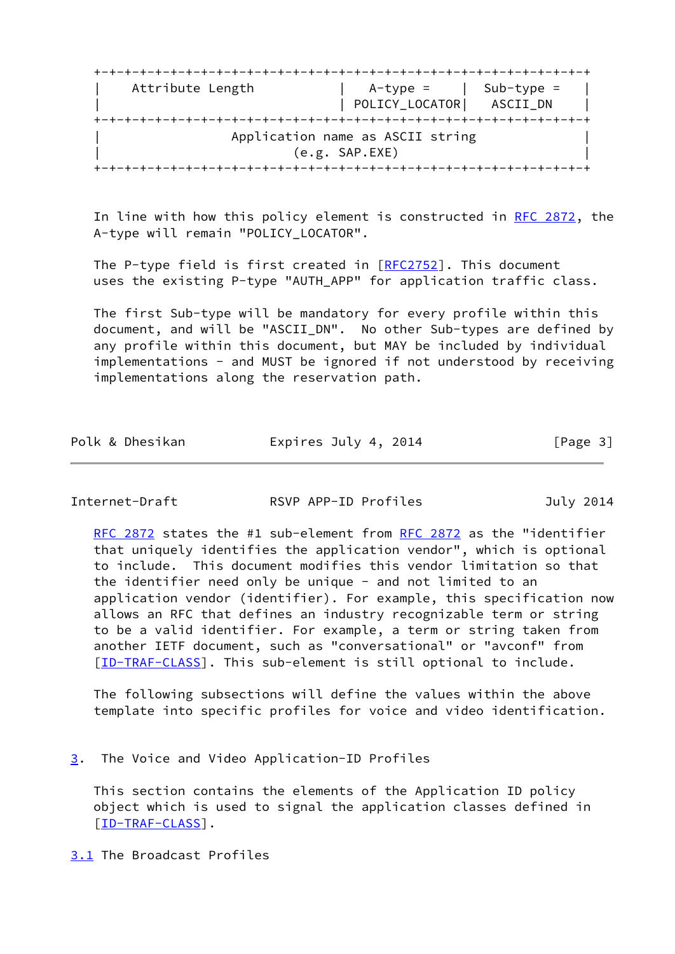| POLICY_LOCATOR                   | ASCII DN |
|----------------------------------|----------|
|                                  |          |
|                                  |          |
| Application name as ASCII string |          |
| (e.g. SAP. EXE)                  |          |
|                                  |          |

In line with how this policy element is constructed in [RFC 2872,](https://datatracker.ietf.org/doc/pdf/rfc2872) the A-type will remain "POLICY\_LOCATOR".

The P-type field is first created in  $[REC2752]$ . This document uses the existing P-type "AUTH\_APP" for application traffic class.

 The first Sub-type will be mandatory for every profile within this document, and will be "ASCII\_DN". No other Sub-types are defined by any profile within this document, but MAY be included by individual implementations - and MUST be ignored if not understood by receiving implementations along the reservation path.

| Polk & Dhesikan | Expires July 4, 2014 | [Page 3] |
|-----------------|----------------------|----------|
|-----------------|----------------------|----------|

<span id="page-3-1"></span>Internet-Draft **RSVP APP-ID Profiles** July 2014

[RFC 2872](https://datatracker.ietf.org/doc/pdf/rfc2872) states the #1 sub-element from [RFC 2872](https://datatracker.ietf.org/doc/pdf/rfc2872) as the "identifier that uniquely identifies the application vendor", which is optional to include. This document modifies this vendor limitation so that the identifier need only be unique - and not limited to an application vendor (identifier). For example, this specification now allows an RFC that defines an industry recognizable term or string to be a valid identifier. For example, a term or string taken from another IETF document, such as "conversational" or "avconf" from [\[ID-TRAF-CLASS](#page-15-2)]. This sub-element is still optional to include.

 The following subsections will define the values within the above template into specific profiles for voice and video identification.

<span id="page-3-0"></span>[3](#page-3-0). The Voice and Video Application-ID Profiles

 This section contains the elements of the Application ID policy object which is used to signal the application classes defined in [\[ID-TRAF-CLASS](#page-15-2)].

<span id="page-3-2"></span>[3.1](#page-3-2) The Broadcast Profiles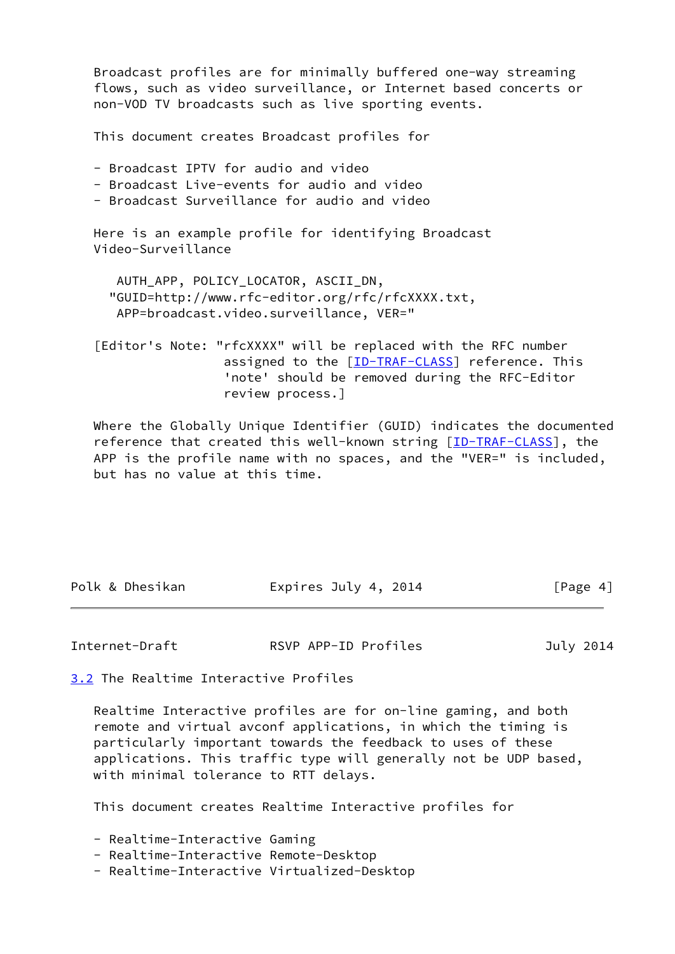Broadcast profiles are for minimally buffered one-way streaming flows, such as video surveillance, or Internet based concerts or non-VOD TV broadcasts such as live sporting events. This document creates Broadcast profiles for - Broadcast IPTV for audio and video - Broadcast Live-events for audio and video - Broadcast Surveillance for audio and video Here is an example profile for identifying Broadcast Video-Surveillance AUTH\_APP, POLICY\_LOCATOR, ASCII\_DN, "GUID=http://www.rfc-editor.org/rfc/rfcXXXX.txt, APP=broadcast.video.surveillance, VER=" [Editor's Note: "rfcXXXX" will be replaced with the RFC number assigned to the [\[ID-TRAF-CLASS\]](#page-15-2) reference. This 'note' should be removed during the RFC-Editor review process.] Where the Globally Unique Identifier (GUID) indicates the documented

reference that created this well-known string [[ID-TRAF-CLASS\]](#page-15-2), the APP is the profile name with no spaces, and the "VER=" is included, but has no value at this time.

| Polk & Dhesikan | Expires July 4, 2014 | [Page 4] |
|-----------------|----------------------|----------|

<span id="page-4-1"></span>Internet-Draft **RSVP APP-ID Profiles** July 2014

<span id="page-4-0"></span>[3.2](#page-4-0) The Realtime Interactive Profiles

 Realtime Interactive profiles are for on-line gaming, and both remote and virtual avconf applications, in which the timing is particularly important towards the feedback to uses of these applications. This traffic type will generally not be UDP based, with minimal tolerance to RTT delays.

This document creates Realtime Interactive profiles for

- Realtime-Interactive Gaming

- Realtime-Interactive Remote-Desktop
- Realtime-Interactive Virtualized-Desktop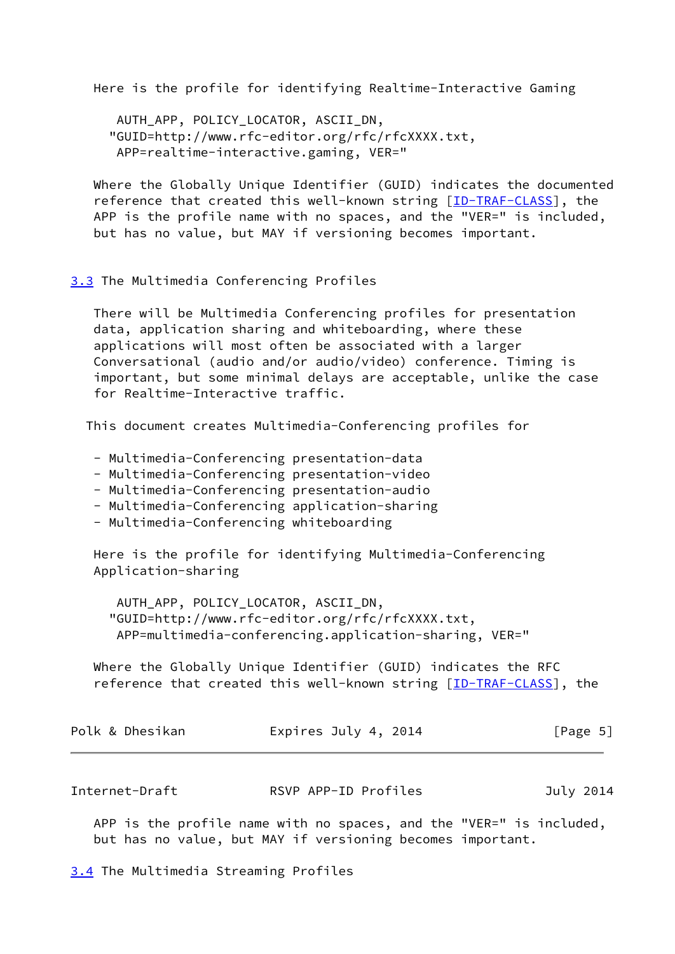Here is the profile for identifying Realtime-Interactive Gaming

```
 AUTH_APP, POLICY_LOCATOR, ASCII_DN,
 "GUID=http://www.rfc-editor.org/rfc/rfcXXXX.txt,
 APP=realtime-interactive.gaming, VER="
```
 Where the Globally Unique Identifier (GUID) indicates the documented reference that created this well-known string [[ID-TRAF-CLASS\]](#page-15-2), the APP is the profile name with no spaces, and the "VER=" is included, but has no value, but MAY if versioning becomes important.

## <span id="page-5-0"></span>[3.3](#page-5-0) The Multimedia Conferencing Profiles

 There will be Multimedia Conferencing profiles for presentation data, application sharing and whiteboarding, where these applications will most often be associated with a larger Conversational (audio and/or audio/video) conference. Timing is important, but some minimal delays are acceptable, unlike the case for Realtime-Interactive traffic.

This document creates Multimedia-Conferencing profiles for

- Multimedia-Conferencing presentation-data
- Multimedia-Conferencing presentation-video
- Multimedia-Conferencing presentation-audio
- Multimedia-Conferencing application-sharing
- Multimedia-Conferencing whiteboarding

 Here is the profile for identifying Multimedia-Conferencing Application-sharing

 AUTH\_APP, POLICY\_LOCATOR, ASCII\_DN, "GUID=http://www.rfc-editor.org/rfc/rfcXXXX.txt, APP=multimedia-conferencing.application-sharing, VER="

 Where the Globally Unique Identifier (GUID) indicates the RFC reference that created this well-known string [[ID-TRAF-CLASS\]](#page-15-2), the

| Polk & Dhesikan<br>Expires July 4, 2014 | [Page 5] |
|-----------------------------------------|----------|
|-----------------------------------------|----------|

<span id="page-5-2"></span>Internet-Draft RSVP APP-ID Profiles July 2014

 APP is the profile name with no spaces, and the "VER=" is included, but has no value, but MAY if versioning becomes important.

<span id="page-5-1"></span>[3.4](#page-5-1) The Multimedia Streaming Profiles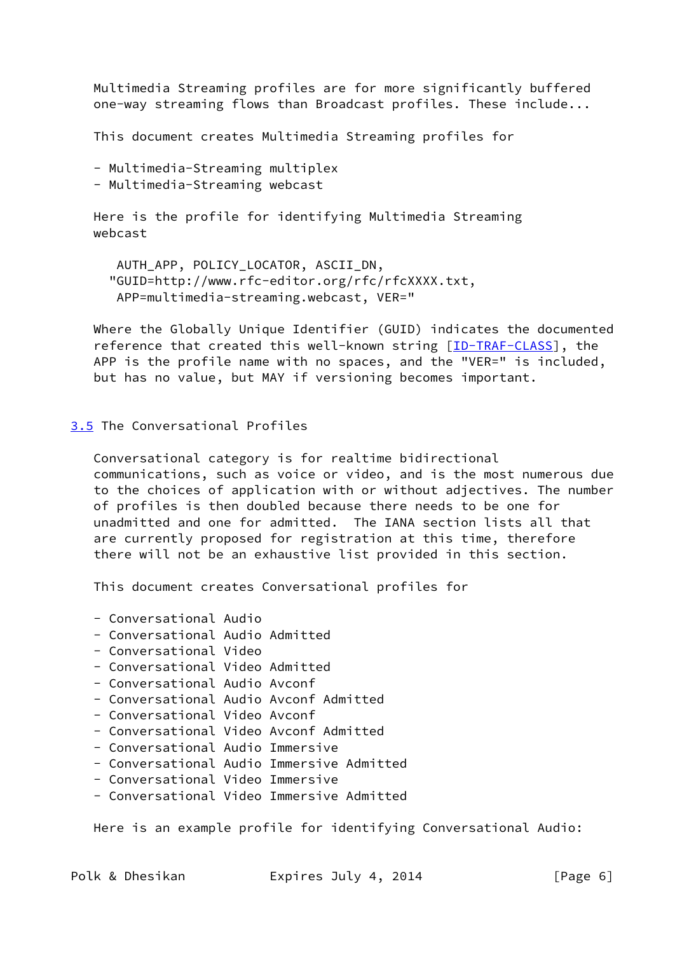Multimedia Streaming profiles are for more significantly buffered one-way streaming flows than Broadcast profiles. These include...

This document creates Multimedia Streaming profiles for

```
 - Multimedia-Streaming multiplex
```
- Multimedia-Streaming webcast

 Here is the profile for identifying Multimedia Streaming webcast

 AUTH\_APP, POLICY\_LOCATOR, ASCII\_DN, "GUID=http://www.rfc-editor.org/rfc/rfcXXXX.txt, APP=multimedia-streaming.webcast, VER="

 Where the Globally Unique Identifier (GUID) indicates the documented reference that created this well-known string [[ID-TRAF-CLASS\]](#page-15-2), the APP is the profile name with no spaces, and the "VER=" is included, but has no value, but MAY if versioning becomes important.

## <span id="page-6-0"></span>[3.5](#page-6-0) The Conversational Profiles

 Conversational category is for realtime bidirectional communications, such as voice or video, and is the most numerous due to the choices of application with or without adjectives. The number of profiles is then doubled because there needs to be one for unadmitted and one for admitted. The IANA section lists all that are currently proposed for registration at this time, therefore there will not be an exhaustive list provided in this section.

This document creates Conversational profiles for

```
 - Conversational Audio
```
- Conversational Audio Admitted
- Conversational Video
- Conversational Video Admitted
- Conversational Audio Avconf
- Conversational Audio Avconf Admitted
- Conversational Video Avconf
- Conversational Video Avconf Admitted
- Conversational Audio Immersive
- Conversational Audio Immersive Admitted
- Conversational Video Immersive
- Conversational Video Immersive Admitted

Here is an example profile for identifying Conversational Audio:

Polk & Dhesikan Expires July 4, 2014 [Page 6]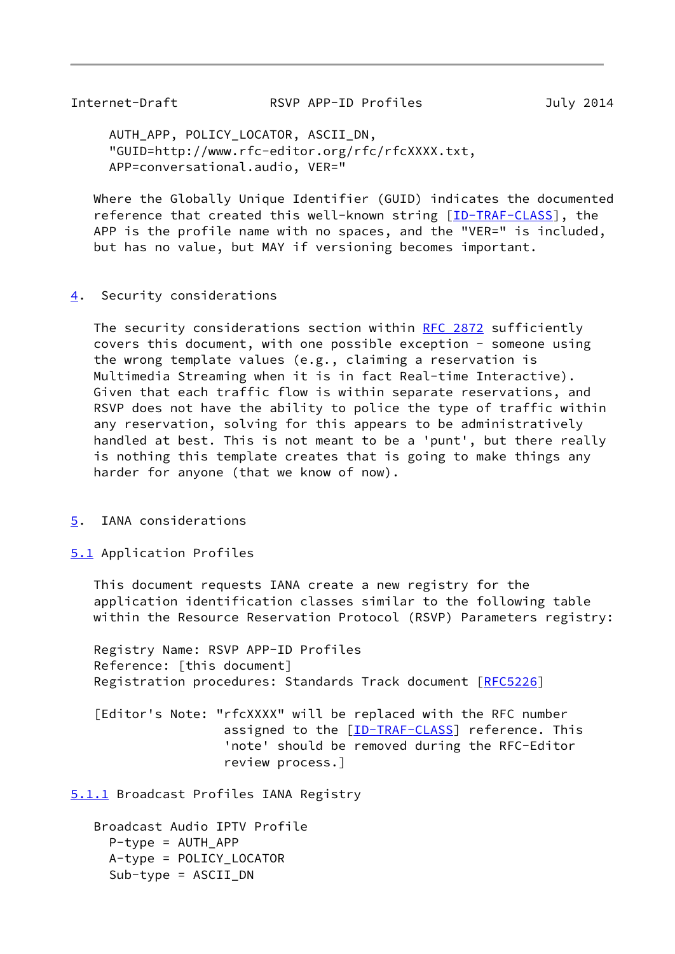<span id="page-7-1"></span> AUTH\_APP, POLICY\_LOCATOR, ASCII\_DN, "GUID=http://www.rfc-editor.org/rfc/rfcXXXX.txt, APP=conversational.audio, VER="

 Where the Globally Unique Identifier (GUID) indicates the documented reference that created this well-known string [[ID-TRAF-CLASS\]](#page-15-2), the APP is the profile name with no spaces, and the "VER=" is included, but has no value, but MAY if versioning becomes important.

#### <span id="page-7-0"></span>[4](#page-7-0). Security considerations

The security considerations section within [RFC 2872](https://datatracker.ietf.org/doc/pdf/rfc2872) sufficiently covers this document, with one possible exception - someone using the wrong template values (e.g., claiming a reservation is Multimedia Streaming when it is in fact Real-time Interactive). Given that each traffic flow is within separate reservations, and RSVP does not have the ability to police the type of traffic within any reservation, solving for this appears to be administratively handled at best. This is not meant to be a 'punt', but there really is nothing this template creates that is going to make things any harder for anyone (that we know of now).

#### <span id="page-7-2"></span>[5](#page-7-2). IANA considerations

<span id="page-7-3"></span>[5.1](#page-7-3) Application Profiles

 This document requests IANA create a new registry for the application identification classes similar to the following table within the Resource Reservation Protocol (RSVP) Parameters registry:

 Registry Name: RSVP APP-ID Profiles Reference: [this document] Registration procedures: Standards Track document [[RFC5226](https://datatracker.ietf.org/doc/pdf/rfc5226)]

 [Editor's Note: "rfcXXXX" will be replaced with the RFC number assigned to the [\[ID-TRAF-CLASS\]](#page-15-2) reference. This 'note' should be removed during the RFC-Editor review process.]

<span id="page-7-4"></span>[5.1.1](#page-7-4) Broadcast Profiles IANA Registry

```
 Broadcast Audio IPTV Profile
   P-type = AUTH_APP
   A-type = POLICY_LOCATOR
   Sub-type = ASCII_DN
```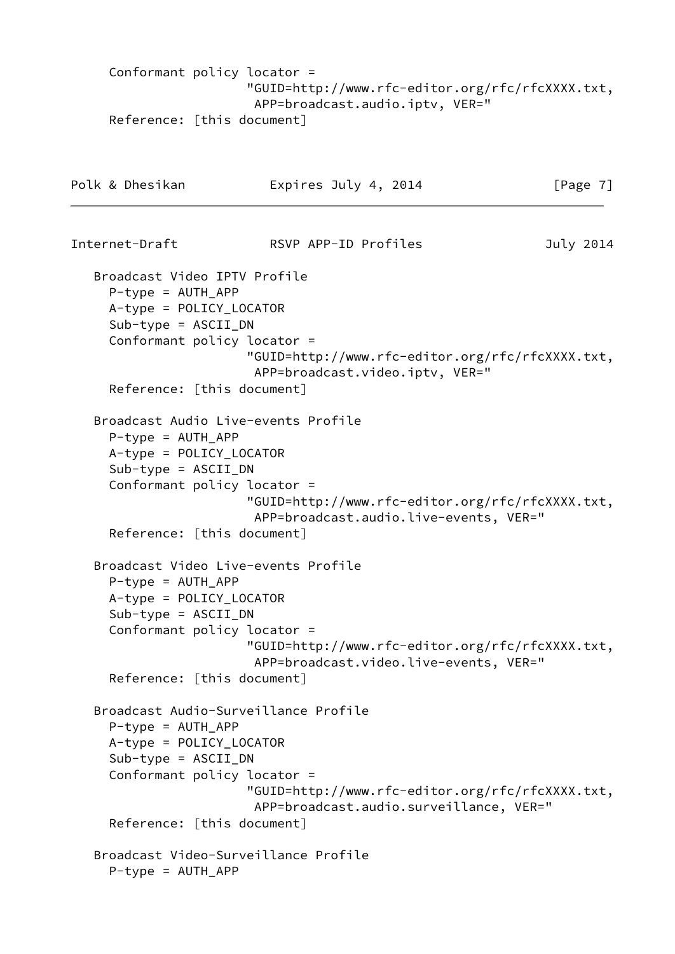```
 Conformant policy locator =
                        "GUID=http://www.rfc-editor.org/rfc/rfcXXXX.txt,
                         APP=broadcast.audio.iptv, VER="
      Reference: [this document]
Polk & Dhesikan Expires July 4, 2014 [Page 7]
Internet-Draft RSVP APP-ID Profiles July 2014
    Broadcast Video IPTV Profile
     P-type = AUTHAPP A-type = POLICY_LOCATOR
      Sub-type = ASCII_DN
      Conformant policy locator =
                        "GUID=http://www.rfc-editor.org/rfc/rfcXXXX.txt,
                         APP=broadcast.video.iptv, VER="
      Reference: [this document]
    Broadcast Audio Live-events Profile
      P-type = AUTH_APP
      A-type = POLICY_LOCATOR
      Sub-type = ASCII_DN
      Conformant policy locator =
                        "GUID=http://www.rfc-editor.org/rfc/rfcXXXX.txt,
                         APP=broadcast.audio.live-events, VER="
      Reference: [this document]
    Broadcast Video Live-events Profile
      P-type = AUTH_APP
      A-type = POLICY_LOCATOR
      Sub-type = ASCII_DN
      Conformant policy locator =
                        "GUID=http://www.rfc-editor.org/rfc/rfcXXXX.txt,
                         APP=broadcast.video.live-events, VER="
      Reference: [this document]
    Broadcast Audio-Surveillance Profile
      P-type = AUTH_APP
      A-type = POLICY_LOCATOR
     Sub-type = ASCII_DN Conformant policy locator =
                        "GUID=http://www.rfc-editor.org/rfc/rfcXXXX.txt,
                         APP=broadcast.audio.surveillance, VER="
      Reference: [this document]
    Broadcast Video-Surveillance Profile
      P-type = AUTH_APP
```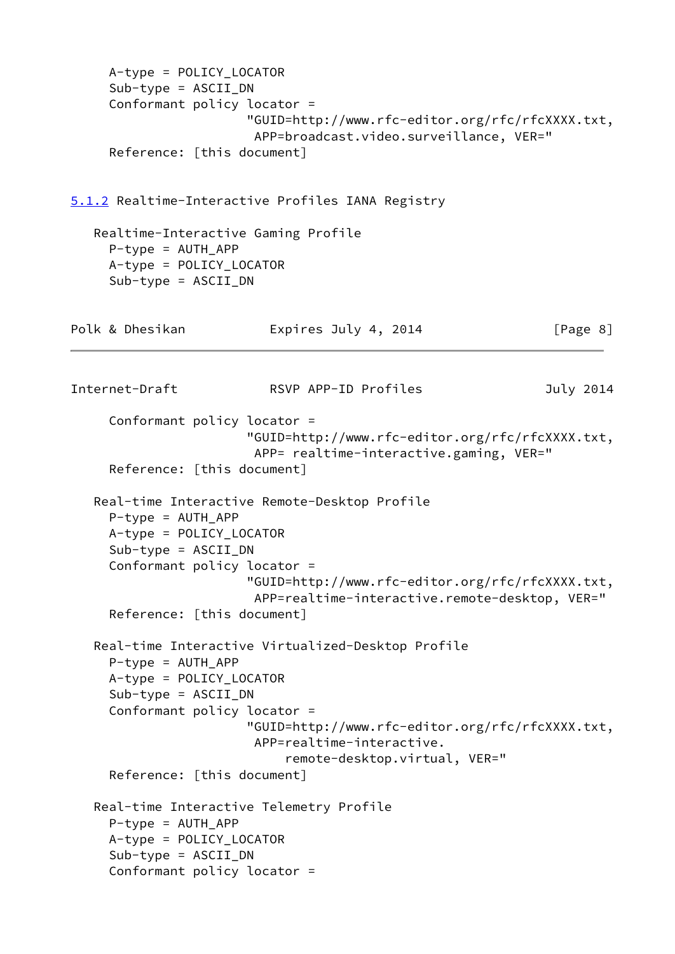```
 A-type = POLICY_LOCATOR
      Sub-type = ASCII_DN
      Conformant policy locator =
                        "GUID=http://www.rfc-editor.org/rfc/rfcXXXX.txt,
                         APP=broadcast.video.surveillance, VER="
      Reference: [this document]
5.1.2 Realtime-Interactive Profiles IANA Registry
    Realtime-Interactive Gaming Profile
      P-type = AUTH_APP
     A-type = POLICY_LOCATOR
      Sub-type = ASCII_DN
Polk & Dhesikan Expires July 4, 2014 [Page 8]
Internet-Draft RSVP APP-ID Profiles July 2014
      Conformant policy locator =
                        "GUID=http://www.rfc-editor.org/rfc/rfcXXXX.txt,
                         APP= realtime-interactive.gaming, VER="
      Reference: [this document]
    Real-time Interactive Remote-Desktop Profile
     P-type = AUTH APP
      A-type = POLICY_LOCATOR
      Sub-type = ASCII_DN
      Conformant policy locator =
                        "GUID=http://www.rfc-editor.org/rfc/rfcXXXX.txt,
                         APP=realtime-interactive.remote-desktop, VER="
      Reference: [this document]
    Real-time Interactive Virtualized-Desktop Profile
      P-type = AUTH_APP
      A-type = POLICY_LOCATOR
      Sub-type = ASCII_DN
      Conformant policy locator =
                        "GUID=http://www.rfc-editor.org/rfc/rfcXXXX.txt,
                         APP=realtime-interactive.
                             remote-desktop.virtual, VER="
      Reference: [this document]
    Real-time Interactive Telemetry Profile
     P-type = AUTH APP
      A-type = POLICY_LOCATOR
      Sub-type = ASCII_DN
      Conformant policy locator =
```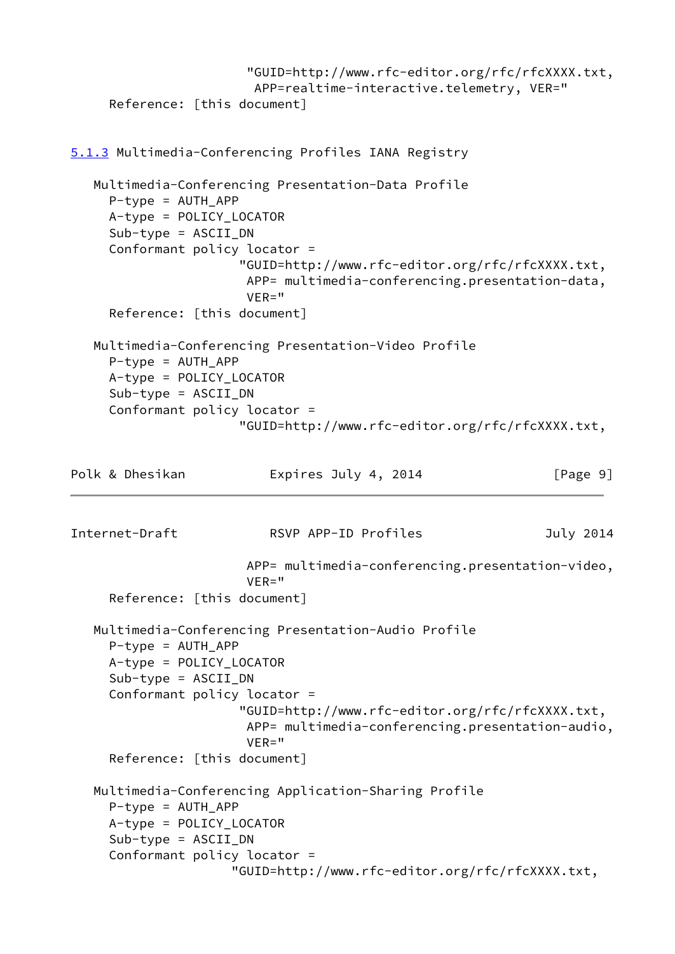```
 "GUID=http://www.rfc-editor.org/rfc/rfcXXXX.txt,
                         APP=realtime-interactive.telemetry, VER="
      Reference: [this document]
5.1.3 Multimedia-Conferencing Profiles IANA Registry
    Multimedia-Conferencing Presentation-Data Profile
      P-type = AUTH_APP
      A-type = POLICY_LOCATOR
      Sub-type = ASCII_DN
      Conformant policy locator =
                       "GUID=http://www.rfc-editor.org/rfc/rfcXXXX.txt,
                       APP= multimedia-conferencing.presentation-data,
                       VER="
      Reference: [this document]
    Multimedia-Conferencing Presentation-Video Profile
     P-type = AUTH APP
      A-type = POLICY_LOCATOR
      Sub-type = ASCII_DN
      Conformant policy locator =
                       "GUID=http://www.rfc-editor.org/rfc/rfcXXXX.txt,
Polk & Dhesikan Expires July 4, 2014 [Page 9]
Internet-Draft RSVP APP-ID Profiles July 2014
                        APP= multimedia-conferencing.presentation-video,
                       VER="
      Reference: [this document]
    Multimedia-Conferencing Presentation-Audio Profile
      P-type = AUTH_APP
      A-type = POLICY_LOCATOR
      Sub-type = ASCII_DN
      Conformant policy locator =
                       "GUID=http://www.rfc-editor.org/rfc/rfcXXXX.txt,
                       APP= multimedia-conferencing.presentation-audio,
                        VER="
      Reference: [this document]
    Multimedia-Conferencing Application-Sharing Profile
      P-type = AUTH_APP
      A-type = POLICY_LOCATOR
      Sub-type = ASCII_DN
      Conformant policy locator =
                      "GUID=http://www.rfc-editor.org/rfc/rfcXXXX.txt,
```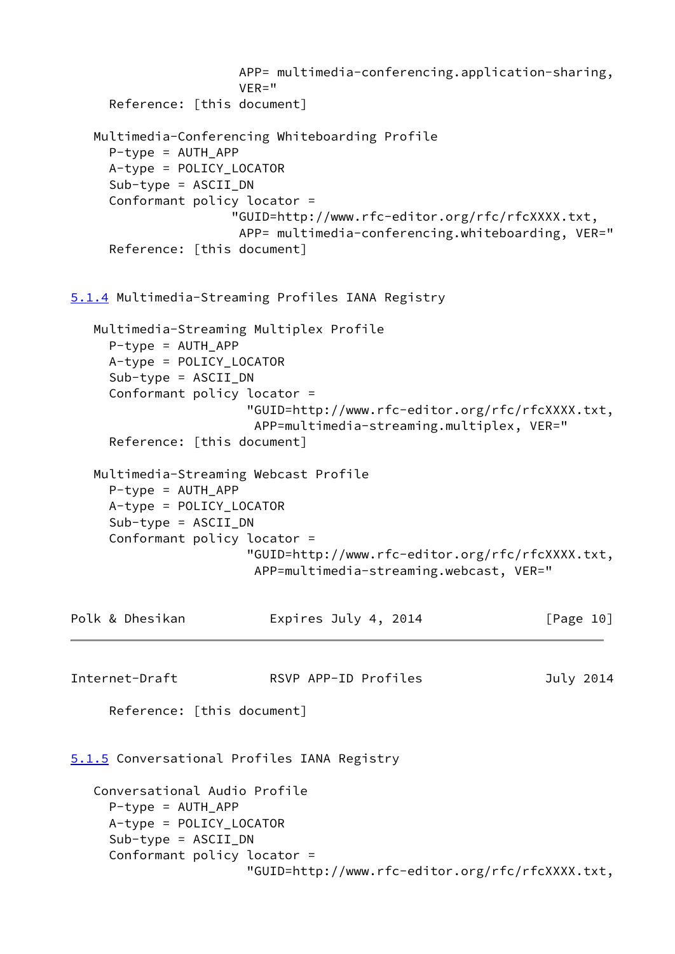```
 APP= multimedia-conferencing.application-sharing,
                       VER="
      Reference: [this document]
    Multimedia-Conferencing Whiteboarding Profile
      P-type = AUTH_APP
      A-type = POLICY_LOCATOR
      Sub-type = ASCII_DN
      Conformant policy locator =
                      "GUID=http://www.rfc-editor.org/rfc/rfcXXXX.txt,
                       APP= multimedia-conferencing.whiteboarding, VER="
      Reference: [this document]
5.1.4 Multimedia-Streaming Profiles IANA Registry
    Multimedia-Streaming Multiplex Profile
      P-type = AUTH_APP
      A-type = POLICY_LOCATOR
     Sub-type = ASCII DN
      Conformant policy locator =
                        "GUID=http://www.rfc-editor.org/rfc/rfcXXXX.txt,
                         APP=multimedia-streaming.multiplex, VER="
      Reference: [this document]
    Multimedia-Streaming Webcast Profile
      P-type = AUTH_APP
      A-type = POLICY_LOCATOR
      Sub-type = ASCII_DN
      Conformant policy locator =
                        "GUID=http://www.rfc-editor.org/rfc/rfcXXXX.txt,
                        APP=multimedia-streaming.webcast, VER="
Polk & Dhesikan Expires July 4, 2014 [Page 10]
Internet-Draft RSVP APP-ID Profiles July 2014
      Reference: [this document]
5.1.5 Conversational Profiles IANA Registry
    Conversational Audio Profile
     P-type = AUTH APP
      A-type = POLICY_LOCATOR
      Sub-type = ASCII_DN
      Conformant policy locator =
                        "GUID=http://www.rfc-editor.org/rfc/rfcXXXX.txt,
```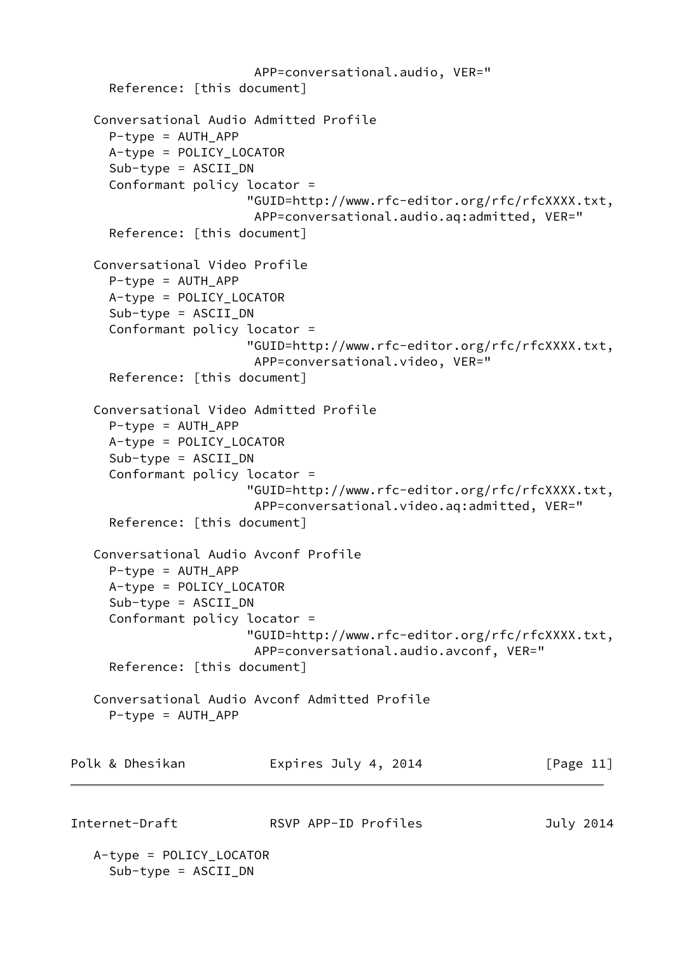```
 APP=conversational.audio, VER="
      Reference: [this document]
    Conversational Audio Admitted Profile
     P-type = AUTH APP
      A-type = POLICY_LOCATOR
      Sub-type = ASCII_DN
      Conformant policy locator =
                        "GUID=http://www.rfc-editor.org/rfc/rfcXXXX.txt,
                         APP=conversational.audio.aq:admitted, VER="
      Reference: [this document]
    Conversational Video Profile
      P-type = AUTH_APP
      A-type = POLICY_LOCATOR
     Sub-type = ASCII DN
      Conformant policy locator =
                        "GUID=http://www.rfc-editor.org/rfc/rfcXXXX.txt,
                         APP=conversational.video, VER="
      Reference: [this document]
    Conversational Video Admitted Profile
     P-type = AUTH APP
      A-type = POLICY_LOCATOR
      Sub-type = ASCII_DN
      Conformant policy locator =
                        "GUID=http://www.rfc-editor.org/rfc/rfcXXXX.txt,
                         APP=conversational.video.aq:admitted, VER="
      Reference: [this document]
    Conversational Audio Avconf Profile
      P-type = AUTH_APP
      A-type = POLICY_LOCATOR
      Sub-type = ASCII_DN
      Conformant policy locator =
                        "GUID=http://www.rfc-editor.org/rfc/rfcXXXX.txt,
                         APP=conversational.audio.avconf, VER="
      Reference: [this document]
    Conversational Audio Avconf Admitted Profile
      P-type = AUTH_APP
Polk & Dhesikan Expires July 4, 2014 [Page 11]
Internet-Draft RSVP APP-ID Profiles July 2014
    A-type = POLICY_LOCATOR
```
<span id="page-12-0"></span>Sub-type = ASCII\_DN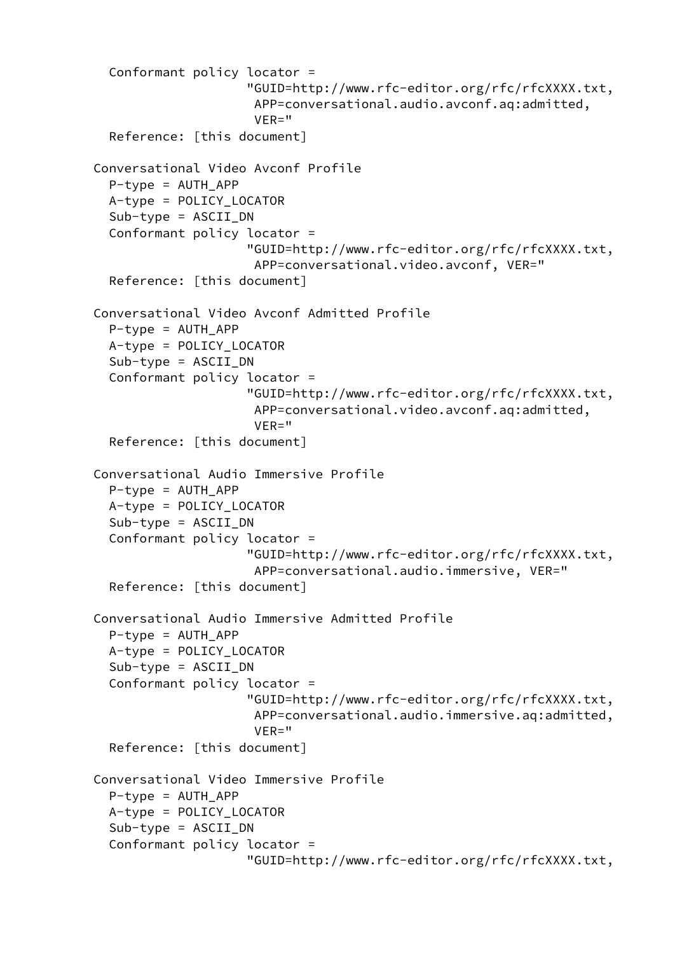```
 Conformant policy locator =
                      "GUID=http://www.rfc-editor.org/rfc/rfcXXXX.txt,
                       APP=conversational.audio.avconf.aq:admitted,
                       VER="
   Reference: [this document]
 Conversational Video Avconf Profile
   P-type = AUTH_APP
   A-type = POLICY_LOCATOR
   Sub-type = ASCII_DN
   Conformant policy locator =
                      "GUID=http://www.rfc-editor.org/rfc/rfcXXXX.txt,
                       APP=conversational.video.avconf, VER="
   Reference: [this document]
 Conversational Video Avconf Admitted Profile
  P-type = AUTH APP
   A-type = POLICY_LOCATOR
   Sub-type = ASCII_DN
   Conformant policy locator =
                      "GUID=http://www.rfc-editor.org/rfc/rfcXXXX.txt,
                       APP=conversational.video.avconf.aq:admitted,
                      VFR = " Reference: [this document]
 Conversational Audio Immersive Profile
   P-type = AUTH_APP
   A-type = POLICY_LOCATOR
   Sub-type = ASCII_DN
   Conformant policy locator =
                      "GUID=http://www.rfc-editor.org/rfc/rfcXXXX.txt,
                      APP=conversational.audio.immersive, VER="
   Reference: [this document]
 Conversational Audio Immersive Admitted Profile
  P-type = AUTH APP
   A-type = POLICY_LOCATOR
  Sub-type = ASCII DN
   Conformant policy locator =
                      "GUID=http://www.rfc-editor.org/rfc/rfcXXXX.txt,
                       APP=conversational.audio.immersive.aq:admitted,
                      VFR = " Reference: [this document]
 Conversational Video Immersive Profile
   P-type = AUTH_APP
   A-type = POLICY_LOCATOR
   Sub-type = ASCII_DN
   Conformant policy locator =
                      "GUID=http://www.rfc-editor.org/rfc/rfcXXXX.txt,
```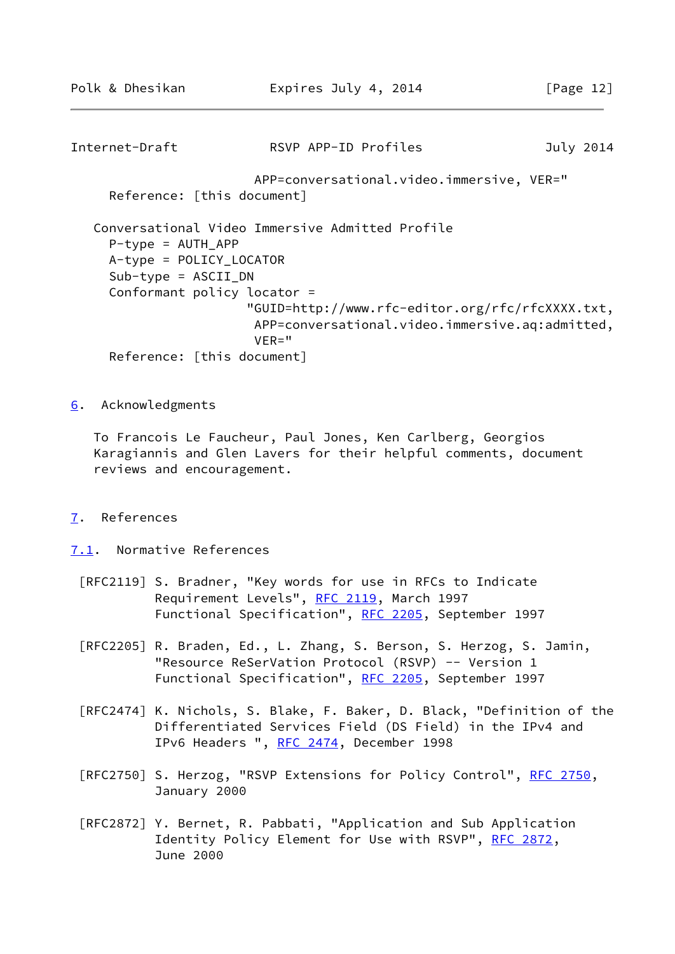```
Internet-Draft RSVP APP-ID Profiles July 2014
                        APP=conversational.video.immersive, VER="
     Reference: [this document]
   Conversational Video Immersive Admitted Profile
     P-type = AUTH APP
     A-type = POLICY_LOCATOR
     Sub-type = ASCII_DN
      Conformant policy locator =
                       "GUID=http://www.rfc-editor.org/rfc/rfcXXXX.txt,
                        APP=conversational.video.immersive.aq:admitted,
                        VER="
     Reference: [this document]
```
<span id="page-14-0"></span>[6](#page-14-0). Acknowledgments

 To Francois Le Faucheur, Paul Jones, Ken Carlberg, Georgios Karagiannis and Glen Lavers for their helpful comments, document reviews and encouragement.

- <span id="page-14-1"></span>[7](#page-14-1). References
- <span id="page-14-2"></span>[7.1](#page-14-2). Normative References
	- [RFC2119] S. Bradner, "Key words for use in RFCs to Indicate Requirement Levels", [RFC 2119](https://datatracker.ietf.org/doc/pdf/rfc2119), March 1997 Functional Specification", [RFC 2205,](https://datatracker.ietf.org/doc/pdf/rfc2205) September 1997
	- [RFC2205] R. Braden, Ed., L. Zhang, S. Berson, S. Herzog, S. Jamin, "Resource ReSerVation Protocol (RSVP) -- Version 1 Functional Specification", [RFC 2205,](https://datatracker.ietf.org/doc/pdf/rfc2205) September 1997
	- [RFC2474] K. Nichols, S. Blake, F. Baker, D. Black, "Definition of the Differentiated Services Field (DS Field) in the IPv4 and IPv6 Headers ", [RFC 2474](https://datatracker.ietf.org/doc/pdf/rfc2474), December 1998
	- [RFC2750] S. Herzog, "RSVP Extensions for Policy Control", [RFC 2750](https://datatracker.ietf.org/doc/pdf/rfc2750), January 2000
	- [RFC2872] Y. Bernet, R. Pabbati, "Application and Sub Application Identity Policy Element for Use with RSVP", [RFC 2872,](https://datatracker.ietf.org/doc/pdf/rfc2872) June 2000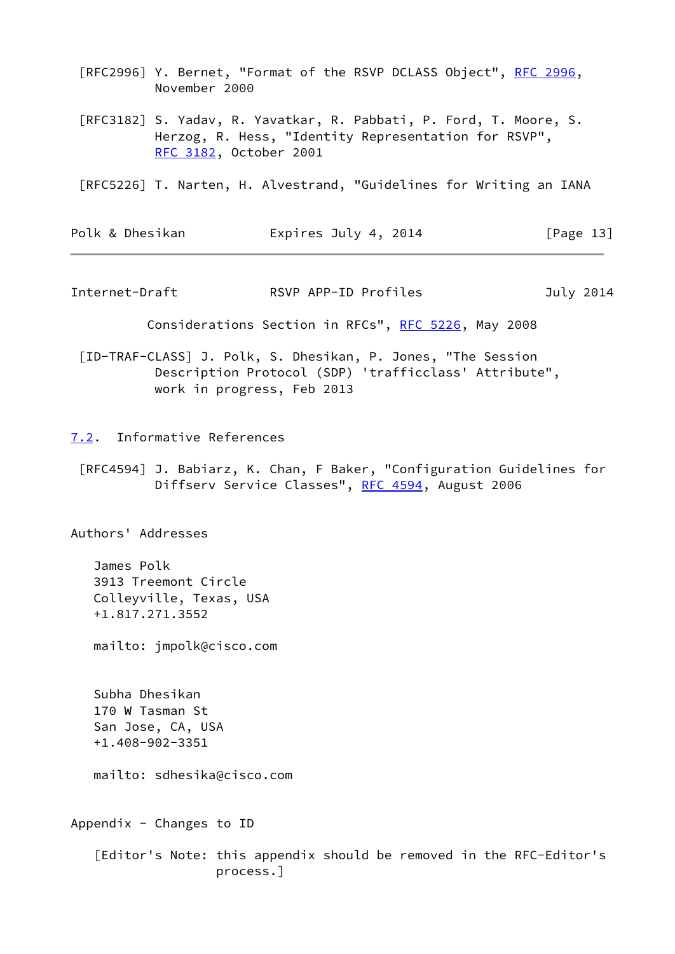[RFC2996] Y. Bernet, "Format of the RSVP DCLASS Object", [RFC 2996,](https://datatracker.ietf.org/doc/pdf/rfc2996) November 2000

 [RFC3182] S. Yadav, R. Yavatkar, R. Pabbati, P. Ford, T. Moore, S. Herzog, R. Hess, "Identity Representation for RSVP", [RFC 3182](https://datatracker.ietf.org/doc/pdf/rfc3182), October 2001

[RFC5226] T. Narten, H. Alvestrand, "Guidelines for Writing an IANA

| Polk & Dhesikan | Expires July 4, 2014 | [Page 13] |
|-----------------|----------------------|-----------|
|-----------------|----------------------|-----------|

<span id="page-15-1"></span>Internet-Draft RSVP APP-ID Profiles July 2014

Considerations Section in RFCs", [RFC 5226](https://datatracker.ietf.org/doc/pdf/rfc5226), May 2008

- <span id="page-15-2"></span> [ID-TRAF-CLASS] J. Polk, S. Dhesikan, P. Jones, "The Session Description Protocol (SDP) 'trafficclass' Attribute", work in progress, Feb 2013
- <span id="page-15-0"></span>[7.2](#page-15-0). Informative References
	- [RFC4594] J. Babiarz, K. Chan, F Baker, "Configuration Guidelines for Diffserv Service Classes", [RFC 4594,](https://datatracker.ietf.org/doc/pdf/rfc4594) August 2006

Authors' Addresses

 James Polk 3913 Treemont Circle Colleyville, Texas, USA +1.817.271.3552

mailto: jmpolk@cisco.com

 Subha Dhesikan 170 W Tasman St San Jose, CA, USA +1.408-902-3351

mailto: sdhesika@cisco.com

Appendix  $-$  Changes to ID

 [Editor's Note: this appendix should be removed in the RFC-Editor's process.]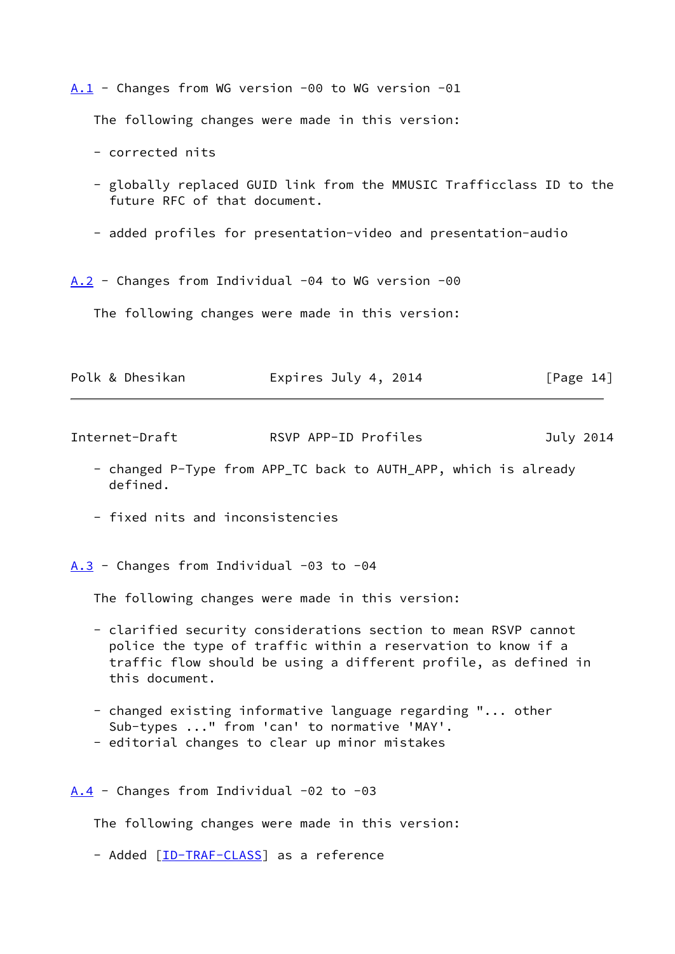<span id="page-16-0"></span>[A.1](#page-16-0) - Changes from WG version -00 to WG version -01

The following changes were made in this version:

- corrected nits

- globally replaced GUID link from the MMUSIC Trafficclass ID to the future RFC of that document.
- added profiles for presentation-video and presentation-audio

<span id="page-16-1"></span> $A.2$  - Changes from Individual -04 to WG version -00

The following changes were made in this version:

| Polk & Dhesikan | Expires July 4, 2014 | [Page 14] |
|-----------------|----------------------|-----------|
|-----------------|----------------------|-----------|

Internet-Draft RSVP APP-ID Profiles July 2014

- changed P-Type from APP\_TC back to AUTH\_APP, which is already defined.
- fixed nits and inconsistencies

<span id="page-16-2"></span> $A.3$  - Changes from Individual -03 to -04

The following changes were made in this version:

- clarified security considerations section to mean RSVP cannot police the type of traffic within a reservation to know if a traffic flow should be using a different profile, as defined in this document.
- changed existing informative language regarding "... other Sub-types ..." from 'can' to normative 'MAY'.
- editorial changes to clear up minor mistakes

<span id="page-16-3"></span> $A.4$  - Changes from Individual -02 to -03

The following changes were made in this version:

- Added [\[ID-TRAF-CLASS](#page-15-2)] as a reference